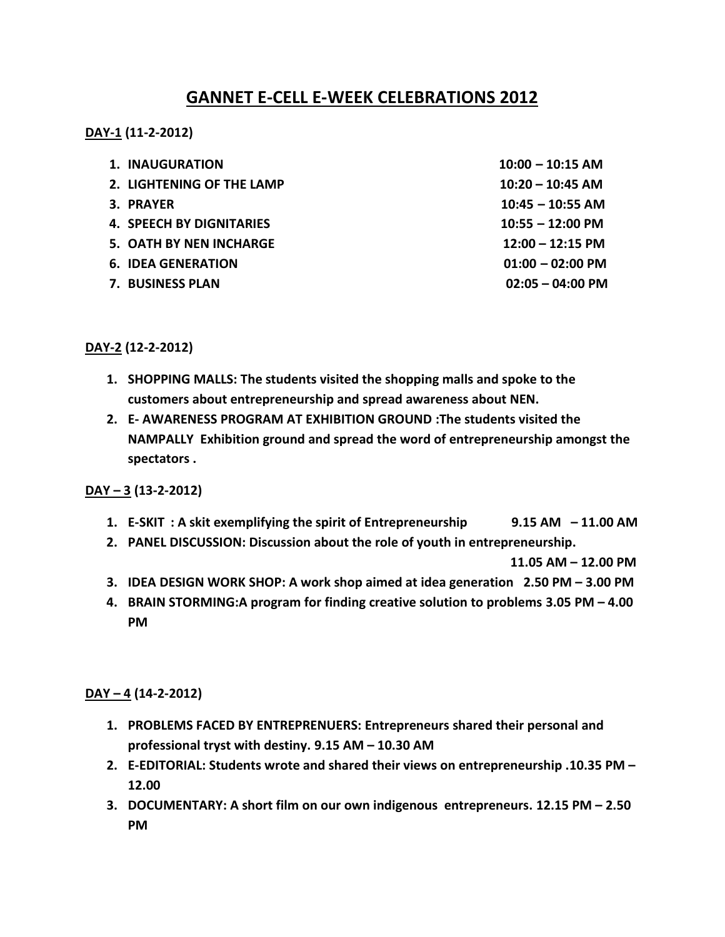# **GANNET E-CELL E-WEEK CELEBRATIONS 2012**

**DAY-1 (11-2-2012)** 

| 1. INAUGURATION                 | $10:00 - 10:15$ AM         |
|---------------------------------|----------------------------|
| 2. LIGHTENING OF THE LAMP       | $10:20 - 10:45$ AM         |
| 3. PRAYER                       | $10:45 - 10:55$ AM         |
| <b>4. SPEECH BY DIGNITARIES</b> | $10:55 - 12:00$ PM         |
| 5. OATH BY NEN INCHARGE         | $12:00 - 12:15$ PM         |
| <b>6. IDEA GENERATION</b>       | $01:00 - 02:00 \text{ PM}$ |
| <b>7. BUSINESS PLAN</b>         | $02:05 - 04:00 \text{ PM}$ |

**DAY-2 (12-2-2012)** 

- **1. SHOPPING MALLS: The students visited the shopping malls and spoke to the customers about entrepreneurship and spread awareness about NEN.**
- **2. E- AWARENESS PROGRAM AT EXHIBITION GROUND :The students visited the NAMPALLY Exhibition ground and spread the word of entrepreneurship amongst the spectators .**

### **DAY – 3 (13-2-2012)**

- **1. E-SKIT : A skit exemplifying the spirit of Entrepreneurship 9.15 AM – 11.00 AM**
- **2. PANEL DISCUSSION: Discussion about the role of youth in entrepreneurship.**

 **11.05 AM – 12.00 PM** 

- **3. IDEA DESIGN WORK SHOP: A work shop aimed at idea generation 2.50 PM – 3.00 PM**
- **4. BRAIN STORMING:A program for finding creative solution to problems 3.05 PM – 4.00 PM**

### **DAY – 4 (14-2-2012)**

- **1. PROBLEMS FACED BY ENTREPRENUERS: Entrepreneurs shared their personal and professional tryst with destiny. 9.15 AM – 10.30 AM**
- **2. E-EDITORIAL: Students wrote and shared their views on entrepreneurship .10.35 PM – 12.00**
- **3. DOCUMENTARY: A short film on our own indigenous entrepreneurs. 12.15 PM – 2.50 PM**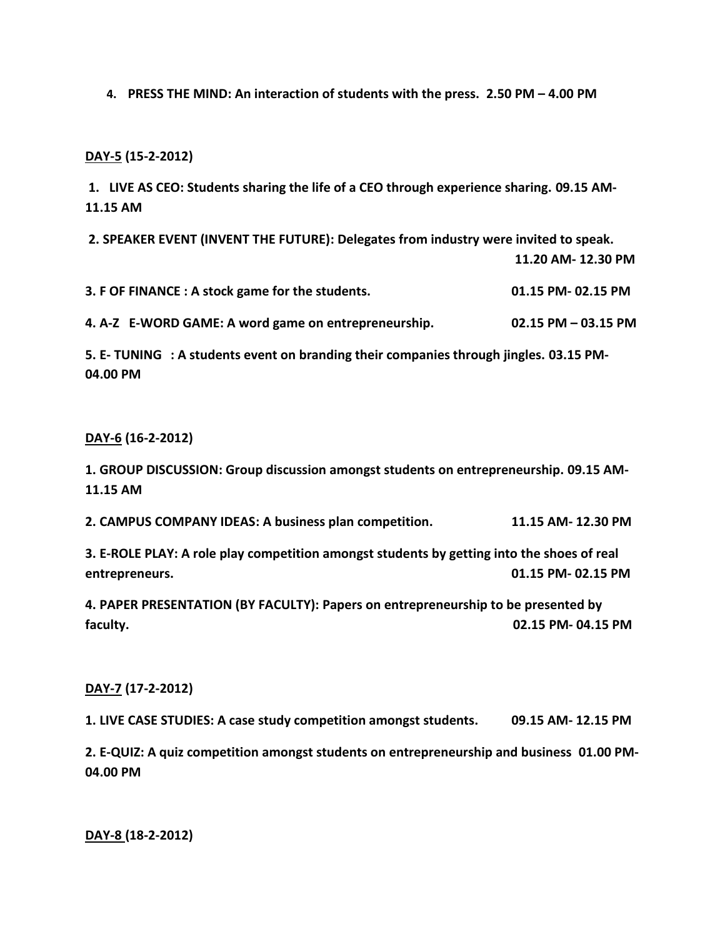**4. PRESS THE MIND: An interaction of students with the press. 2.50 PM – 4.00 PM**

### **DAY-5 (15-2-2012)**

**1. LIVE AS CEO: Students sharing the life of a CEO through experience sharing. 09.15 AM-11.15 AM** 

 **2. SPEAKER EVENT (INVENT THE FUTURE): Delegates from industry were invited to speak. 11.20 AM- 12.30 PM 3. F OF FINANCE : A stock game for the students. 01.15 PM- 02.15 PM** 

**4. A-Z E-WORD GAME: A word game on entrepreneurship. 02.15 PM – 03.15 PM** 

**5. E- TUNING : A students event on branding their companies through jingles. 03.15 PM-04.00 PM** 

#### **DAY-6 (16-2-2012)**

**1. GROUP DISCUSSION: Group discussion amongst students on entrepreneurship. 09.15 AM-11.15 AM** 

**2. CAMPUS COMPANY IDEAS : A business plan competition. 11.15 AM- 12.30 PM** 

**3. E-ROLE PLAY: A role play competition amongst students by getting into the shoes of real entrepreneurs. 01.15 PM- 02.15 PM** 

**4. PAPER PRESENTATION (BY FACULTY): Papers on entrepreneurship to be presented by faculty. 02.15 PM- 04.15 PM** 

### **DAY-7 (17-2-2012)**

**1. LIVE CASE STUDIES: A case study competition amongst students. 09.15 AM- 12.15 PM** 

**2. E-QUIZ: A quiz competition amongst students on entrepreneurship and business 01.00 PM-04.00 PM** 

**DAY-8 (18-2-2012)**